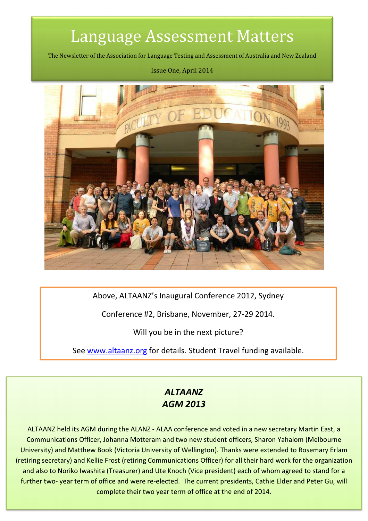# Language Assessment Matters

The Newsletter of the Association for Language Testing and Assessment of Australia and New Zealand

#### Issue One, April 2014



Above, ALTAANZ's Inaugural Conference 2012, Sydney

Conference #2, Brisbane, November, 27-29 2014.

Will you be in the next picture?

See www.altaanz.org for details. Student Travel funding available.

### ALTAANZ AGM 2013

ALTAANZ held its AGM during the ALANZ - ALAA conference and voted in a new secretary Martin East, a Communications Officer, Johanna Motteram and two new student officers, Sharon Yahalom (Melbourne University) and Matthew Book (Victoria University of Wellington). Thanks were extended to Rosemary Erlam (retiring secretary) and Kellie Frost (retiring Communications Officer) for all their hard work for the organization and also to Noriko Iwashita (Treasurer) and Ute Knoch (Vice president) each of whom agreed to stand for a further two- year term of office and were re-elected. The current presidents, Cathie Elder and Peter Gu, will complete their two year term of office at the end of 2014.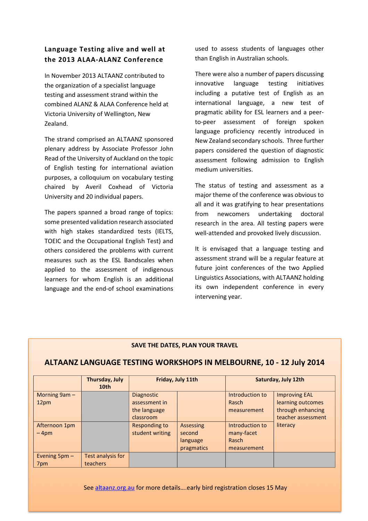#### Language Testing alive and well at the 2013 ALAA-ALANZ Conference

In November 2013 ALTAANZ contributed to the organization of a specialist language testing and assessment strand within the combined ALANZ & ALAA Conference held at Victoria University of Wellington, New Zealand.

The strand comprised an ALTAANZ sponsored plenary address by Associate Professor John Read of the University of Auckland on the topic of English testing for international aviation purposes, a colloquium on vocabulary testing chaired by Averil Coxhead of Victoria University and 20 individual papers.

The papers spanned a broad range of topics: some presented validation research associated with high stakes standardized tests (IELTS, TOEIC and the Occupational English Test) and others considered the problems with current measures such as the ESL Bandscales when applied to the assessment of indigenous learners for whom English is an additional language and the end-of school examinations used to assess students of languages other than English in Australian schools.

There were also a number of papers discussing innovative language testing initiatives including a putative test of English as an international language, a new test of pragmatic ability for ESL learners and a peerto-peer assessment of foreign spoken language proficiency recently introduced in New Zealand secondary schools. Three further papers considered the question of diagnostic assessment following admission to English medium universities.

The status of testing and assessment as a major theme of the conference was obvious to all and it was gratifying to hear presentations from newcomers undertaking doctoral research in the area. All testing papers were well-attended and provoked lively discussion.

It is envisaged that a language testing and assessment strand will be a regular feature at future joint conferences of the two Applied Linguistics Associations, with ALTAANZ holding its own independent conference in every intervening year.

#### SAVE THE DATES, PLAN YOUR TRAVEL

#### ALTAANZ LANGUAGE TESTING WORKSHOPS IN MELBOURNE, 10 - 12 July 2014

|                         | Thursday, July<br>10 <sub>th</sub> | Friday, July 11th                                               |                                               | Saturday, July 12th                                   |                                                                                      |
|-------------------------|------------------------------------|-----------------------------------------------------------------|-----------------------------------------------|-------------------------------------------------------|--------------------------------------------------------------------------------------|
| Morning $9am -$<br>12pm |                                    | <b>Diagnostic</b><br>assessment in<br>the language<br>classroom |                                               | Introduction to<br>Rasch<br>measurement               | <b>Improving EAL</b><br>learning outcomes<br>through enhancing<br>teacher assessment |
| Afternoon 1pm<br>$-4pm$ |                                    | Responding to<br>student writing                                | Assessing<br>second<br>language<br>pragmatics | Introduction to<br>many-facet<br>Rasch<br>measurement | literacy                                                                             |
| Evening $5pm -$<br>7pm  | Test analysis for<br>teachers      |                                                                 |                                               |                                                       |                                                                                      |

See altaanz.org.au for more details….early bird registration closes 15 May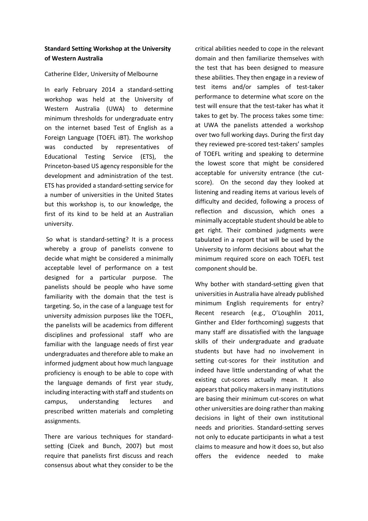#### Standard Setting Workshop at the University of Western Australia

#### Catherine Elder, University of Melbourne

In early February 2014 a standard-setting workshop was held at the University of Western Australia (UWA) to determine minimum thresholds for undergraduate entry on the internet based Test of English as a Foreign Language (TOEFL iBT). The workshop was conducted by representatives of Educational Testing Service (ETS), the Princeton-based US agency responsible for the development and administration of the test. ETS has provided a standard-setting service for a number of universities in the United States but this workshop is, to our knowledge, the first of its kind to be held at an Australian university.

 So what is standard-setting? It is a process whereby a group of panelists convene to decide what might be considered a minimally acceptable level of performance on a test designed for a particular purpose. The panelists should be people who have some familiarity with the domain that the test is targeting. So, in the case of a language test for university admission purposes like the TOEFL, the panelists will be academics from different disciplines and professional staff who are familiar with the language needs of first year undergraduates and therefore able to make an informed judgment about how much language proficiency is enough to be able to cope with the language demands of first year study, including interacting with staff and students on campus, understanding lectures and prescribed written materials and completing assignments.

There are various techniques for standardsetting (Cizek and Bunch, 2007) but most require that panelists first discuss and reach consensus about what they consider to be the critical abilities needed to cope in the relevant domain and then familiarize themselves with the test that has been designed to measure these abilities. They then engage in a review of test items and/or samples of test-taker performance to determine what score on the test will ensure that the test-taker has what it takes to get by. The process takes some time: at UWA the panelists attended a workshop over two full working days. During the first day they reviewed pre-scored test-takers' samples of TOEFL writing and speaking to determine the lowest score that might be considered acceptable for university entrance (the cutscore). On the second day they looked at listening and reading items at various levels of difficulty and decided, following a process of reflection and discussion, which ones a minimally acceptable student should be able to get right. Their combined judgments were tabulated in a report that will be used by the University to inform decisions about what the minimum required score on each TOEFL test component should be.

Why bother with standard-setting given that universities in Australia have already published minimum English requirements for entry? Recent research (e.g., O'Loughlin 2011, Ginther and Elder forthcoming) suggests that many staff are dissatisfied with the language skills of their undergraduate and graduate students but have had no involvement in setting cut-scores for their institution and indeed have little understanding of what the existing cut-scores actually mean. It also appears that policy makers in many institutions are basing their minimum cut-scores on what other universities are doing rather than making decisions in light of their own institutional needs and priorities. Standard-setting serves not only to educate participants in what a test claims to measure and how it does so, but also offers the evidence needed to make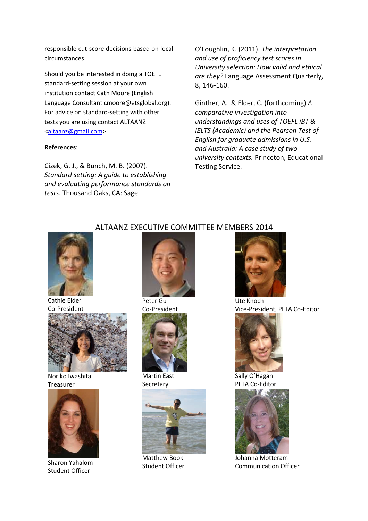responsible cut-score decisions based on local circumstances.

Should you be interested in doing a TOEFL standard-setting session at your own institution contact Cath Moore (English Language Consultant cmoore@etsglobal.org). For advice on standard-setting with other tests you are using contact ALTAANZ <altaanz@gmail.com>

#### References:

Cizek, G. J., & Bunch, M. B. (2007). Standard setting: A guide to establishing and evaluating performance standards on tests. Thousand Oaks, CA: Sage.

O'Loughlin, K. (2011). The interpretation and use of proficiency test scores in University selection: How valid and ethical are they? Language Assessment Quarterly, 8, 146-160.

Ginther, A. & Elder, C. (forthcoming) A comparative investigation into understandings and uses of TOEFL iBT & IELTS (Academic) and the Pearson Test of English for graduate admissions in U.S. and Australia: A case study of two university contexts. Princeton, Educational Testing Service.



Cathie Elder Co-President



Noriko Iwashita Treasurer



Sharon Yahalom Student Officer

#### ALTAANZ EXECUTIVE COMMITTEE MEMBERS 2014



Co-President



Martin East **Secretary** 



Matthew Book Student Officer



Ute Knoch Vice-President, PLTA Co-Editor



Sally O'Hagan PLTA Co-Editor



Johanna Motteram Communication Officer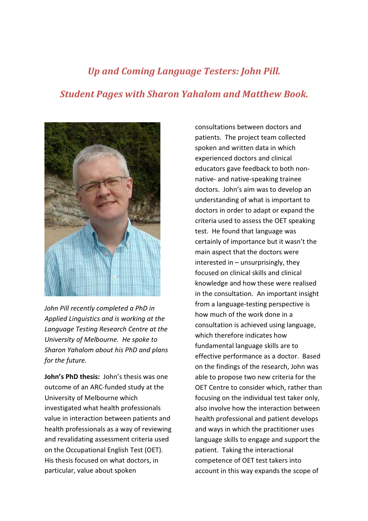## Up and Coming Language Testers: John Pill. Student Pages with Sharon Yahalom and Matthew Book.



John Pill recently completed a PhD in Applied Linguistics and is working at the Language Testing Research Centre at the University of Melbourne. He spoke to Sharon Yahalom about his PhD and plans for the future.

John's PhD thesis: John's thesis was one outcome of an ARC-funded study at the University of Melbourne which investigated what health professionals value in interaction between patients and health professionals as a way of reviewing and revalidating assessment criteria used on the Occupational English Test (OET). His thesis focused on what doctors, in particular, value about spoken

consultations between doctors and patients. The project team collected spoken and written data in which experienced doctors and clinical educators gave feedback to both nonnative- and native-speaking trainee doctors. John's aim was to develop an understanding of what is important to doctors in order to adapt or expand the criteria used to assess the OET speaking test. He found that language was certainly of importance but it wasn't the main aspect that the doctors were  $interested in – unsurprisingly, they$ focused on clinical skills and clinical knowledge and how these were realised in the consultation. An important insight from a language-testing perspective is how much of the work done in a consultation is achieved using language, which therefore indicates how fundamental language skills are to effective performance as a doctor. Based on the findings of the research, John was able to propose two new criteria for the OET Centre to consider which, rather than focusing on the individual test taker only, also involve how the interaction between health professional and patient develops and ways in which the practitioner uses language skills to engage and support the patient. Taking the interactional competence of OET test takers into account in this way expands the scope of